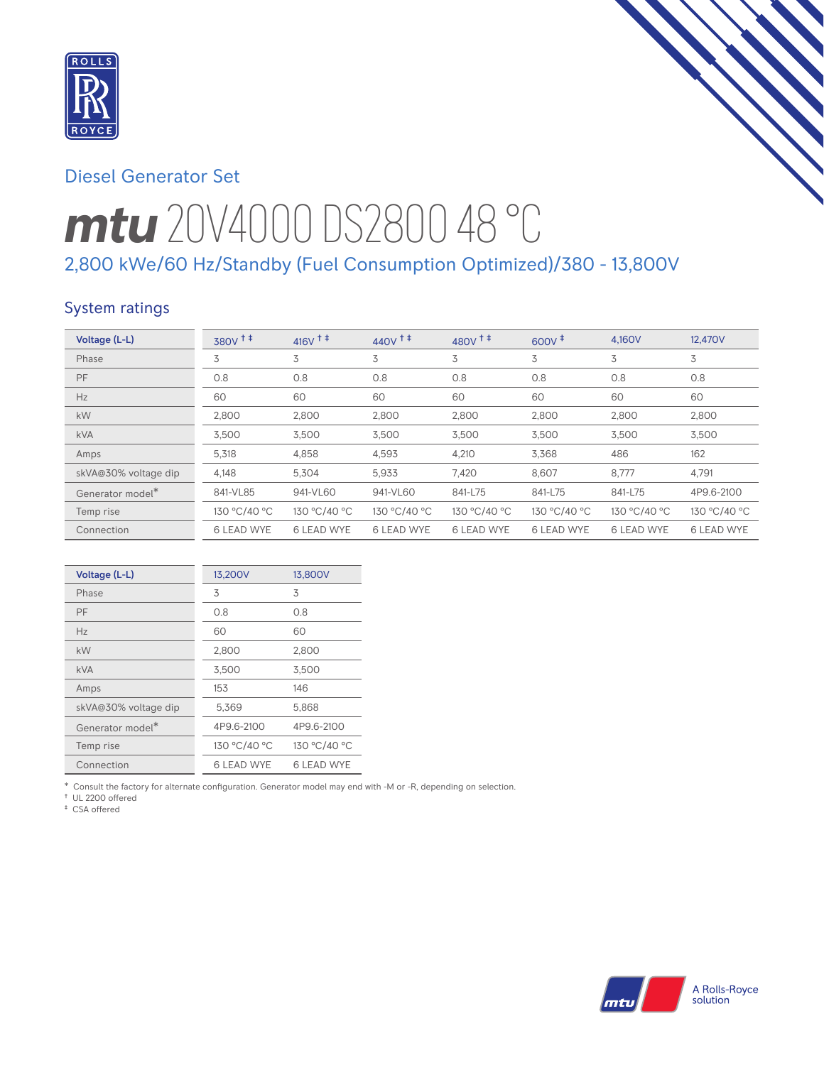

## Diesel Generator Set

# *mtu* 20V4000 DS2800 48 °C 2,800 kWe/60 Hz/Standby (Fuel Consumption Optimized)/380 - 13,800V

## System ratings

| Voltage (L-L)                | $380V$ <sup>++</sup> | $416V$ <sup>++</sup> | $440V$ <sup>++</sup> | 480V <sup>+</sup> | $600V$ <sup><math>#</math></sup> | 4.160V            | 12,470V           |
|------------------------------|----------------------|----------------------|----------------------|-------------------|----------------------------------|-------------------|-------------------|
| Phase                        | 3                    | 3                    | 3                    | 3                 | 3                                | 3                 | 3                 |
| PF                           | 0.8                  | 0.8                  | 0.8                  | 0.8               | 0.8                              | 0.8               | 0.8               |
| Hz                           | 60                   | 60                   | 60                   | 60                | 60                               | 60                | 60                |
| kW                           | 2,800                | 2,800                | 2,800                | 2,800             | 2,800                            | 2,800             | 2,800             |
| <b>kVA</b>                   | 3,500                | 3,500                | 3,500                | 3,500             | 3,500                            | 3,500             | 3,500             |
| Amps                         | 5,318                | 4.858                | 4,593                | 4,210             | 3.368                            | 486               | 162               |
| skVA@30% voltage dip         | 4,148                | 5,304                | 5,933                | 7,420             | 8.607                            | 8,777             | 4,791             |
| Generator model <sup>*</sup> | 841-VL85             | 941-VL60             | 941-VL60             | 841-L75           | 841-L75                          | 841-L75           | 4P9.6-2100        |
| Temp rise                    | 130 °C/40 °C         | 130 °C/40 °C         | 130 °C/40 °C         | 130 °C/40 °C      | 130 °C/40 °C                     | 130 °C/40 °C      | 130 °C/40 °C      |
| Connection                   | <b>6 LEAD WYE</b>    | <b>6 LEAD WYE</b>    | <b>6 LEAD WYE</b>    | <b>6 LEAD WYE</b> | <b>6 LEAD WYE</b>                | <b>6 LEAD WYE</b> | <b>6 LEAD WYE</b> |

| Voltage (L-L)        | 13,200V           | 13,800V           |
|----------------------|-------------------|-------------------|
| Phase                | 3                 | 3                 |
| PF                   | 0.8               | 0.8               |
| Hz                   | 60                | 60                |
| kW                   | 2,800             | 2,800             |
| kVA                  | 3,500             | 3,500             |
| Amps                 | 153               | 146               |
| skVA@30% voltage dip | 5,369             | 5,868             |
| Generator model*     | 4P9.6-2100        | 4P9.6-2100        |
| Temp rise            | 130 °C/40 °C      | 130 °C/40 °C      |
| Connection           | <b>6 LEAD WYE</b> | <b>6 LEAD WYE</b> |

\* Consult the factory for alternate configuration. Generator model may end with -M or -R, depending on selection.

† UL 2200 offered

‡ CSA offered

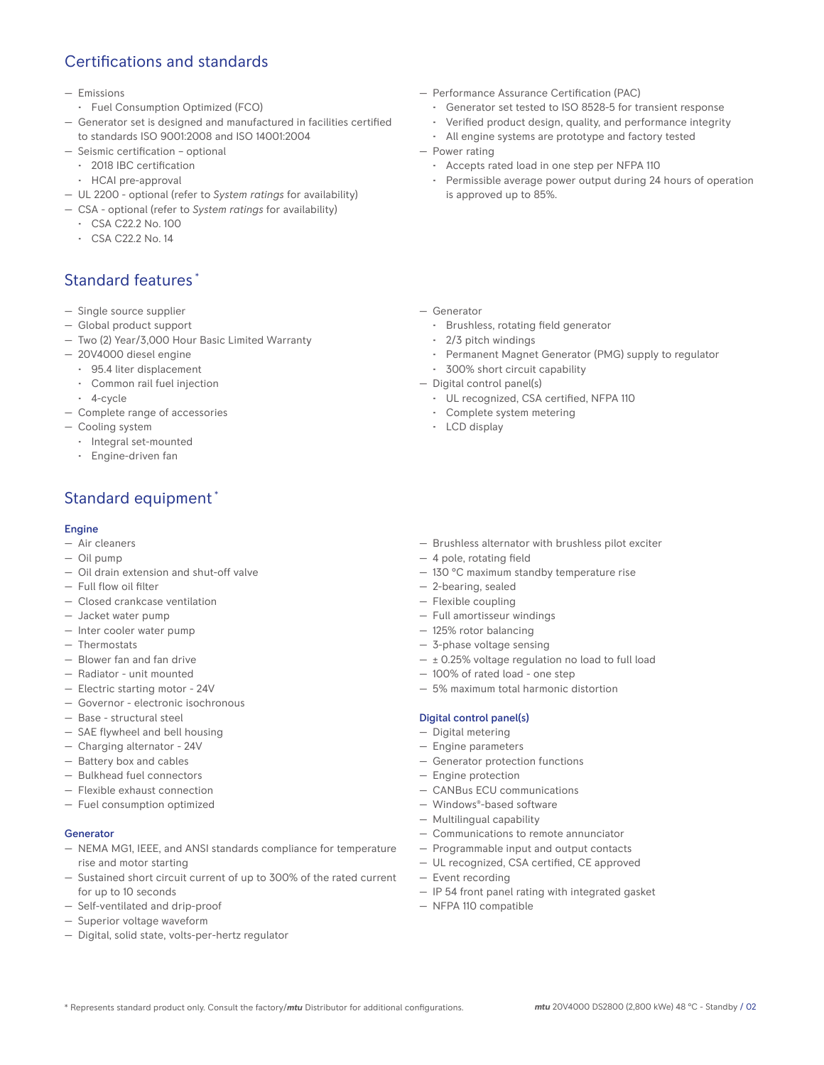## Certifications and standards

- Emissions
- Fuel Consumption Optimized (FCO)
- Generator set is designed and manufactured in facilities certified to standards ISO 9001:2008 and ISO 14001:2004
- Seismic certification optional
- 2018 IBC certification
- HCAI pre-approval
- UL 2200 optional (refer to *System ratings* for availability)
- CSA optional (refer to *System ratings* for availability)
	- CSA C22.2 No. 100
	- CSA C22.2 No. 14

## Standard features \*

- Single source supplier
- Global product support
- Two (2) Year/3,000 Hour Basic Limited Warranty
- 20V4000 diesel engine
	- 95.4 liter displacement
	- Common rail fuel injection
- 4-cycle
- Complete range of accessories
- Cooling system
	- Integral set-mounted
	- Engine-driven fan

## Standard equipment \*

#### **Engine**

- Air cleaners
- Oil pump
- Oil drain extension and shut-off valve
- Full flow oil filter
- Closed crankcase ventilation
- Jacket water pump
- Inter cooler water pump
- Thermostats
- Blower fan and fan drive
- Radiator unit mounted
- Electric starting motor 24V
- Governor electronic isochronous
- Base structural steel
- SAE flywheel and bell housing
- Charging alternator 24V
- Battery box and cables
- Bulkhead fuel connectors
- Flexible exhaust connection
- Fuel consumption optimized

#### Generator

- NEMA MG1, IEEE, and ANSI standards compliance for temperature rise and motor starting
- Sustained short circuit current of up to 300% of the rated current for up to 10 seconds
- Self-ventilated and drip-proof
- Superior voltage waveform
- Digital, solid state, volts-per-hertz regulator
- Performance Assurance Certification (PAC)
	- Generator set tested to ISO 8528-5 for transient response
	- Verified product design, quality, and performance integrity
	- All engine systems are prototype and factory tested
- Power rating
	- Accepts rated load in one step per NFPA 110
	- Permissible average power output during 24 hours of operation is approved up to 85%.
- Generator
	- Brushless, rotating field generator
	- 2/3 pitch windings
	- Permanent Magnet Generator (PMG) supply to regulator
	- 300% short circuit capability
- Digital control panel(s)
	- UL recognized, CSA certified, NFPA 110
	- Complete system metering
	- LCD display
- Brushless alternator with brushless pilot exciter
- 4 pole, rotating field
- 130 °C maximum standby temperature rise
- 2-bearing, sealed
- Flexible coupling
- Full amortisseur windings
- 125% rotor balancing
- 3-phase voltage sensing
- ± 0.25% voltage regulation no load to full load
- 100% of rated load one step
- 5% maximum total harmonic distortion

#### Digital control panel(s)

- Digital metering
- Engine parameters
- Generator protection functions
- Engine protection
- CANBus ECU communications
- Windows®-based software
- Multilingual capability
- Communications to remote annunciator
- Programmable input and output contacts
- UL recognized, CSA certified, CE approved
- Event recording
- IP 54 front panel rating with integrated gasket
- NFPA 110 compatible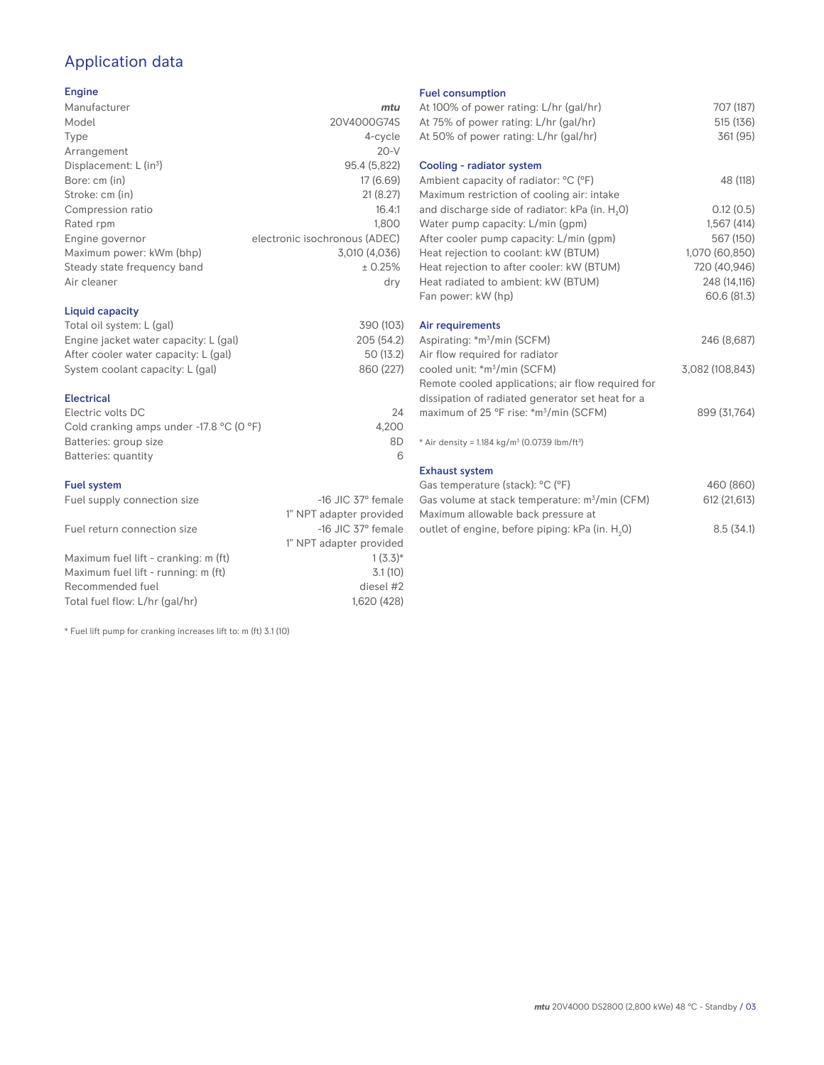## Application data

#### Engine

| Manufacturer                         | mtu                           |
|--------------------------------------|-------------------------------|
| Model                                | 20V4000G74S                   |
| Type                                 | 4-cycle                       |
| Arrangement                          | $20-V$                        |
| Displacement: $L$ (in <sup>3</sup> ) | 95.4 (5,822)                  |
| Bore: cm (in)                        | 17 (6.69)                     |
| Stroke: cm (in)                      | 21(8.27)                      |
| Compression ratio                    | 16.4:1                        |
| Rated rpm                            | 1.800                         |
| Engine governor                      | electronic isochronous (ADEC) |
| Maximum power: kWm (bhp)             | 3,010 (4,036)                 |
| Steady state frequency band          | ± 0.25%                       |
| Air cleaner                          | dry                           |
|                                      |                               |

#### Liquid capacity

| Total oil system: L (gal)             | 390 (103)  |
|---------------------------------------|------------|
| Engine jacket water capacity: L (gal) | 205 (54.2) |
| After cooler water capacity: L (gal)  | 50 (13.2)  |
| System coolant capacity: L (gal)      | 860 (227)  |
|                                       |            |

#### Electrical

| Electric volts DC                                            | 24    |
|--------------------------------------------------------------|-------|
| Cold cranking amps under -17.8 $^{\circ}$ C (O $^{\circ}$ F) | 4.200 |
| Batteries: group size                                        | 8D    |
| Batteries: quantity                                          |       |

#### Fuel system

| Fuel supply connection size          | $-16$ JIC 37 $\degree$ female |
|--------------------------------------|-------------------------------|
|                                      | 1" NPT adapter provided       |
| Fuel return connection size          | $-16$ JIC 37 $\degree$ female |
|                                      | 1" NPT adapter provided       |
| Maximum fuel lift - cranking: m (ft) | $1(3.3)*$                     |
| Maximum fuel lift - running: m (ft)  | 3.1(10)                       |
| Recommended fuel                     | diesel #2                     |
| Total fuel flow: L/hr (gal/hr)       | 1,620 (428)                   |

\* Fuel lift pump for cranking increases lift to: m (ft) 3.1 (10)

#### Fuel consumption

| At 100% of power rating: L/hr (gal/hr)                                | 707 (187)       |
|-----------------------------------------------------------------------|-----------------|
| At 75% of power rating: L/hr (gal/hr)                                 | 515 (136)       |
| At 50% of power rating: L/hr (gal/hr)                                 | 361 (95)        |
| Cooling - radiator system                                             |                 |
| Ambient capacity of radiator: °C (°F)                                 | 48 (118)        |
| Maximum restriction of cooling air: intake                            |                 |
| and discharge side of radiator: kPa (in. H <sub>2</sub> 0)            | 0.12(0.5)       |
| Water pump capacity: L/min (gpm)                                      | 1,567(414)      |
| After cooler pump capacity: L/min (gpm)                               | 567 (150)       |
| Heat rejection to coolant: kW (BTUM)                                  | 1,070 (60,850)  |
| Heat rejection to after cooler: kW (BTUM)                             | 720 (40,946)    |
| Heat radiated to ambient: kW (BTUM)                                   | 248 (14,116)    |
| Fan power: kW (hp)                                                    | 60.6 (81.3)     |
| Air requirements                                                      |                 |
| Aspirating: *m <sup>3</sup> /min (SCFM)                               | 246 (8,687)     |
| Air flow required for radiator                                        |                 |
| cooled unit: *m <sup>3</sup> /min (SCFM)                              | 3,082 (108,843) |
| Remote cooled applications; air flow required for                     |                 |
| dissipation of radiated generator set heat for a                      |                 |
| maximum of 25 °F rise: *m <sup>3</sup> /min (SCFM)                    | 899 (31,764)    |
| * Air density = 1.184 kg/m <sup>3</sup> (0.0739 lbm/ft <sup>3</sup> ) |                 |
| <b>Exhaust system</b>                                                 |                 |
| Gas temperature (stack): °C (°F)                                      | 460 (860)       |
| Gas volume at stack temperature: m <sup>3</sup> /min (CFM)            | 612 (21,613)    |

| Gas volume at stack temperature: m°/min (CFM)               | 012(21,013) |
|-------------------------------------------------------------|-------------|
| Maximum allowable back pressure at                          |             |
| outlet of engine, before piping: kPa (in. H <sub>2</sub> O) | 8.5(34.1)   |